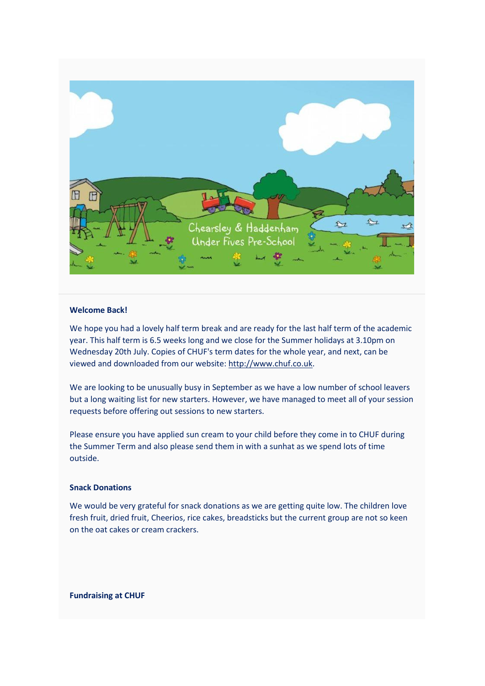

# **Welcome Back!**

We hope you had a lovely half term break and are ready for the last half term of the academic year. This half term is 6.5 weeks long and we close for the Summer holidays at 3.10pm on Wednesday 20th July. Copies of CHUF's term dates for the whole year, and next, can be viewed and downloaded from our website: [http://www.chuf.co.uk.](http://www.chuf.co.uk/)

We are looking to be unusually busy in September as we have a low number of school leavers but a long waiting list for new starters. However, we have managed to meet all of your session requests before offering out sessions to new starters.

Please ensure you have applied sun cream to your child before they come in to CHUF during the Summer Term and also please send them in with a sunhat as we spend lots of time outside.

# **Snack Donations**

We would be very grateful for snack donations as we are getting quite low. The children love fresh fruit, dried fruit, Cheerios, rice cakes, breadsticks but the current group are not so keen on the oat cakes or cream crackers.

**Fundraising at CHUF**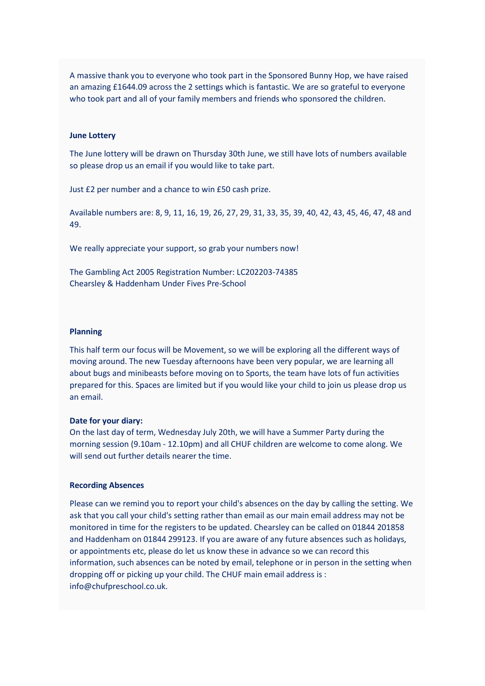A massive thank you to everyone who took part in the Sponsored Bunny Hop, we have raised an amazing £1644.09 across the 2 settings which is fantastic. We are so grateful to everyone who took part and all of your family members and friends who sponsored the children.

### **June Lottery**

The June lottery will be drawn on Thursday 30th June, we still have lots of numbers available so please drop us an email if you would like to take part.

Just £2 per number and a chance to win £50 cash prize.

Available numbers are: 8, 9, 11, 16, 19, 26, 27, 29, 31, 33, 35, 39, 40, 42, 43, 45, 46, 47, 48 and 49.

We really appreciate your support, so grab your numbers now!

The Gambling Act 2005 Registration Number: LC202203-74385 Chearsley & Haddenham Under Fives Pre-School

### **Planning**

This half term our focus will be Movement, so we will be exploring all the different ways of moving around. The new Tuesday afternoons have been very popular, we are learning all about bugs and minibeasts before moving on to Sports, the team have lots of fun activities prepared for this. Spaces are limited but if you would like your child to join us please drop us an email.

#### **Date for your diary:**

On the last day of term, Wednesday July 20th, we will have a Summer Party during the morning session (9.10am - 12.10pm) and all CHUF children are welcome to come along. We will send out further details nearer the time.

### **Recording Absences**

Please can we remind you to report your child's absences on the day by calling the setting. We ask that you call your child's setting rather than email as our main email address may not be monitored in time for the registers to be updated. Chearsley can be called on 01844 201858 and Haddenham on 01844 299123. If you are aware of any future absences such as holidays, or appointments etc, please do let us know these in advance so we can record this information, such absences can be noted by email, telephone or in person in the setting when dropping off or picking up your child. The CHUF main email address is : info@chufpreschool.co.uk.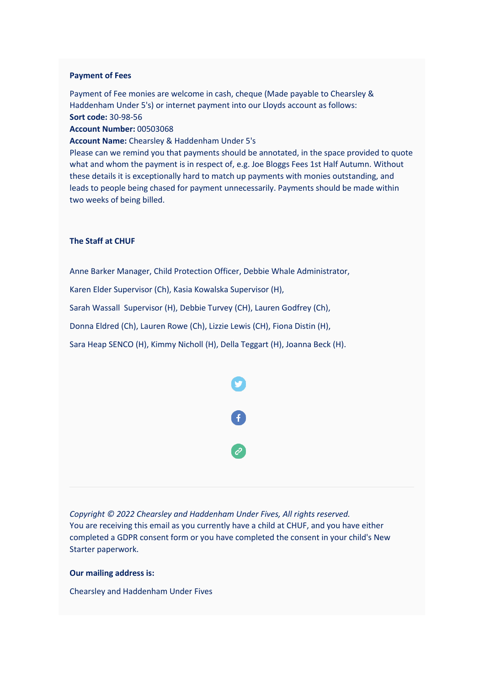# **Payment of Fees**

Payment of Fee monies are welcome in cash, cheque (Made payable to Chearsley & Haddenham Under 5's) or internet payment into our Lloyds account as follows: **Sort code:** 30-98-56

**Account Number:** 00503068

**Account Name:** Chearsley & Haddenham Under 5's

Please can we remind you that payments should be annotated, in the space provided to quote what and whom the payment is in respect of, e.g. Joe Bloggs Fees 1st Half Autumn. Without these details it is exceptionally hard to match up payments with monies outstanding, and leads to people being chased for payment unnecessarily. Payments should be made within two weeks of being billed.

## **The Staff at CHUF**

Anne Barker Manager, Child Protection Officer, Debbie Whale Administrator,

Karen Elder Supervisor (Ch), Kasia Kowalska Supervisor (H),

Sarah Wassall Supervisor (H), Debbie Turvey (CH), Lauren Godfrey (Ch),

Donna Eldred (Ch), Lauren Rowe (Ch), Lizzie Lewis (CH), Fiona Distin (H),

Sara Heap SENCO (H), Kimmy Nicholl (H), Della Teggart (H), Joanna Beck (H).



*Copyright © 2022 Chearsley and Haddenham Under Fives, All rights reserved.* You are receiving this email as you currently have a child at CHUF, and you have either completed a GDPR consent form or you have completed the consent in your child's New Starter paperwork.

## **Our mailing address is:**

Chearsley and Haddenham Under Fives